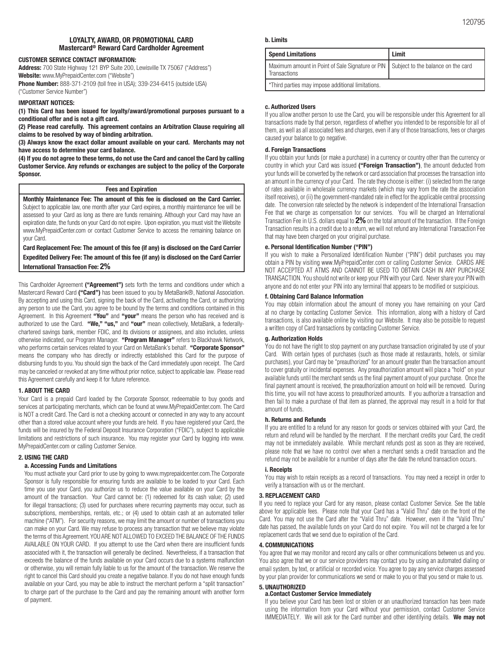#### **LOYALTY, AWARD, OR PROMOTIONAL CARD Mastercard® Reward Card Cardholder Agreement**

#### **CUSTOMER SERVICE CONTACT INFORMATION:**

**Address:** 700 State Highway 121 BYP Suite 200, Lewisville TX 75067 ("Address") **Website:** www.MyPrepaidCenter.com ("Website") **Phone Number:** 888-371-2109 (toll free in USA); 339-234-6415 (outside USA) ("Customer Service Number")

#### **IMPORTANT NOTICES:**

**(1) This Card has been issued for loyalty/award/promotional purposes pursuant to a conditional offer and is not a gift card.** 

**(2) Please read carefully. This agreement contains an Arbitration Clause requiring all claims to be resolved by way of binding arbitration.**

**(3) Always know the exact dollar amount available on your card. Merchants may not have access to determine your card balance.**

**(4) If you do not agree to these terms, do not use the Card and cancel the Card by calling Customer Service. Any refunds or exchanges are subject to the policy of the Corporate Sponsor.**

#### **Fees and Expiration**

**Monthly Maintenance Fee: The amount of this fee is disclosed on the Card Carrier.**  Subject to applicable law, one month after your Card expires, a monthly maintenance fee will be assessed to your Card as long as there are funds remaining. Although your Card may have an expiration date, the funds on your Card do not expire. Upon expiration, you must visit the Website www.MyPrepaidCenter.com or contact Customer Service to access the remaining balance on your Card.

**Card Replacement Fee: The amount of this fee (if any) is disclosed on the Card Carrier Expedited Delivery Fee: The amount of this fee (if any) is disclosed on the Card Carrier International Transaction Fee: 2%**

This Cardholder Agreement **("Agreement")** sets forth the terms and conditions under which a Mastercard Reward Card **("Card")** has been issued to you by MetaBank®, National Association. By accepting and using this Card, signing the back of the Card, activating the Card, or authorizing any person to use the Card, you agree to be bound by the terms and conditions contained in this Agreement. In this Agreement **"You"** and **"your"** means the person who has received and is authorized to use the Card. **"We," "us,"** and **"our"** mean collectively, MetaBank, a federallychartered savings bank, member FDIC, and its divisions or assignees, and also includes, unless otherwise indicated, our Program Manager. **"Program Manager"** refers to Blackhawk Network, who performs certain services related to your Card on MetaBank's behalf. **"Corporate Sponsor"**  means the company who has directly or indirectly established this Card for the purpose of disbursing funds to you. You should sign the back of the Card immediately upon receipt. The Card may be canceled or revoked at any time without prior notice, subject to applicable law. Please read this Agreement carefully and keep it for future reference.

#### **1. ABOUT THE CARD**

Your Card is a prepaid Card loaded by the Corporate Sponsor, redeemable to buy goods and services at participating merchants, which can be found at www.MyPrepaidCenter.com. The Card is NOT a credit Card. The Card is not a checking account or connected in any way to any account other than a stored value account where your funds are held. If you have registered your Card, the funds will be insured by the Federal Deposit Insurance Corporation ("FDIC"), subject to applicable limitations and restrictions of such insurance. You may register your Card by logging into www. MyPrepaidCenter.com or calling Customer Service.

#### **2. USING THE CARD**

#### **a. Accessing Funds and Limitations**

You must activate your Card prior to use by going to www.myprepaidcenter.com.The Corporate Sponsor is fully responsible for ensuring funds are available to be loaded to your Card. Each time you use your Card, you authorize us to reduce the value available on your Card by the amount of the transaction. Your Card cannot be: (1) redeemed for its cash value; (2) used for illegal transactions; (3) used for purchases where recurring payments may occur, such as subscriptions, memberships, rentals, etc.; or (4) used to obtain cash at an automated teller machine ("ATM"). For security reasons, we may limit the amount or number of transactions you can make on your Card. We may refuse to process any transaction that we believe may violate the terms of this Agreement. YOU ARE NOT ALLOWED TO EXCEED THE BALANCE OF THE FUNDS AVAILABLE ON YOUR CARD. If you attempt to use the Card when there are insufficient funds associated with it, the transaction will generally be declined. Nevertheless, if a transaction that exceeds the balance of the funds available on your Card occurs due to a systems malfunction or otherwise, you will remain fully liable to us for the amount of the transaction. We reserve the right to cancel this Card should you create a negative balance. If you do not have enough funds available on your Card, you may be able to instruct the merchant perform a "split transaction" to charge part of the purchase to the Card and pay the remaining amount with another form of payment.

#### **b. Limits**

| Spend Limitations                                                                                     | Limit |
|-------------------------------------------------------------------------------------------------------|-------|
| Maximum amount in Point of Sale Signature or PIN   Subject to the balance on the card<br>Transactions |       |
| *Third parties may impose additional limitations.                                                     |       |

#### **c. Authorized Users**

If you allow another person to use the Card, you will be responsible under this Agreement for all transactions made by that person, regardless of whether you intended to be responsible for all of them, as well as all associated fees and charges, even if any of those transactions, fees or charges caused your balance to go negative.

#### **d. Foreign Transactions**

If you obtain your funds (or make a purchase) in a currency or country other than the currency or country in which your Card was issued **("Foreign Transaction")**, the amount deducted from your funds will be converted by the network or card association that processes the transaction into an amount in the currency of your Card. The rate they choose is either: (i) selected from the range of rates available in wholesale currency markets (which may vary from the rate the association itself receives), or (ii) the government-mandated rate in effect for the applicable central processing date. The conversion rate selected by the network is independent of the International Transaction Fee that we charge as compensation for our services. You will be charged an International Transaction Fee in U.S. dollars equal to **2%** on the total amount of the transaction. If the Foreign Transaction results in a credit due to a return, we will not refund any International Transaction Fee that may have been charged on your original purchase.

#### **e. Personal Identification Number ("PIN")**

If you wish to make a Personalized Identification Number ("PIN") debit purchases you may obtain a PIN by visiting www.MyPrepaidCenter.com or calling Customer Service. CARDS ARE NOT ACCEPTED AT ATMS AND CANNOT BE USED TO OBTAIN CASH IN ANY PURCHASE TRANSACTION. You should not write or keep your PIN with your Card. Never share your PIN with anyone and do not enter your PIN into any terminal that appears to be modified or suspicious.

#### **f. Obtaining Card Balance Information**

You may obtain information about the amount of money you have remaining on your Card at no charge by contacting Customer Service. This information, along with a history of Card transactions, is also available online by visiting our Website. It may also be possible to request a written copy of Card transactions by contacting Customer Service.

#### **g. Authorization Holds**

You do not have the right to stop payment on any purchase transaction originated by use of your Card. With certain types of purchases (such as those made at restaurants, hotels, or similar purchases), your Card may be "preauthorized" for an amount greater than the transaction amount to cover gratuity or incidental expenses. Any preauthorization amount will place a "hold" on your available funds until the merchant sends us the final payment amount of your purchase. Once the final payment amount is received, the preauthorization amount on hold will be removed. During this time, you will not have access to preauthorized amounts. If you authorize a transaction and then fail to make a purchase of that item as planned, the approval may result in a hold for that amount of funds.

#### **h. Returns and Refunds**

If you are entitled to a refund for any reason for goods or services obtained with your Card, the return and refund will be handled by the merchant. If the merchant credits your Card, the credit may not be immediately available. While merchant refunds post as soon as they are received, please note that we have no control over when a merchant sends a credit transaction and the refund may not be available for a number of days after the date the refund transaction occurs.

#### **i. Receipts**

You may wish to retain receipts as a record of transactions. You may need a receipt in order to verify a transaction with us or the merchant.

#### **3. REPLACEMENT CARD**

If you need to replace your Card for any reason, please contact Customer Service. See the table above for applicable fees. Please note that your Card has a "Valid Thru" date on the front of the Card. You may not use the Card after the "Valid Thru" date. However, even if the "Valid Thru" date has passed, the available funds on your Card do not expire. You will not be charged a fee for replacement cards that we send due to expiration of the Card.

#### **4. COMMUNICATIONS**

You agree that we may monitor and record any calls or other communications between us and you. You also agree that we or our service providers may contact you by using an automated dialing or email system, by text, or artificial or recorded voice. You agree to pay any service charges assessed by your plan provider for communications we send or make to you or that you send or make to us.

#### **5. UNAUTHORIZED**

#### **a.Contact Customer Service Immediately**

If you believe your Card has been lost or stolen or an unauthorized transaction has been made using the information from your Card without your permission, contact Customer Service IMMEDIATELY. We will ask for the Card number and other identifying details. **We may not**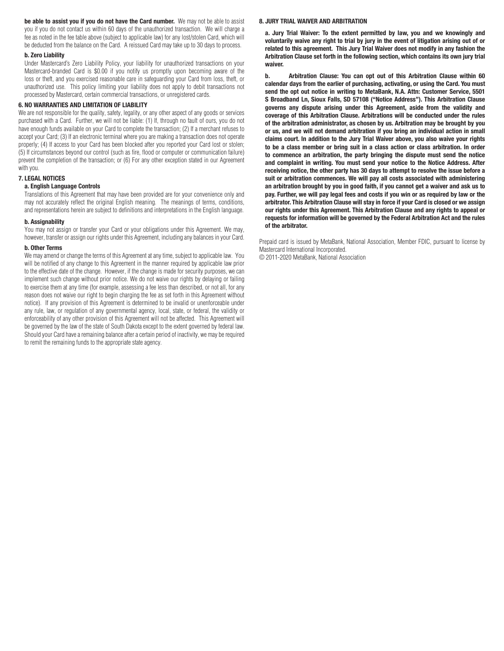**be able to assist you if you do not have the Card number.** We may not be able to assist you if you do not contact us within 60 days of the unauthorized transaction. We will charge a fee as noted in the fee table above (subject to applicable law) for any lost/stolen Card, which will be deducted from the balance on the Card. A reissued Card may take up to 30 days to process.

#### **b. Zero Liability**

Under Mastercard's Zero Liability Policy, your liability for unauthorized transactions on your Mastercard-branded Card is \$0.00 if you notify us promptly upon becoming aware of the loss or theft, and you exercised reasonable care in safeguarding your Card from loss, theft, or unauthorized use. This policy limiting your liability does not apply to debit transactions not processed by Mastercard, certain commercial transactions, or unregistered cards.

#### **6. NO WARRANTIES AND LIMITATION OF LIABILITY**

We are not responsible for the quality, safety, legality, or any other aspect of any goods or services purchased with a Card. Further, we will not be liable: (1) If, through no fault of ours, you do not have enough funds available on your Card to complete the transaction; (2) If a merchant refuses to accept your Card; (3) If an electronic terminal where you are making a transaction does not operate properly; (4) If access to your Card has been blocked after you reported your Card lost or stolen; (5) If circumstances beyond our control (such as fire, flood or computer or communication failure) prevent the completion of the transaction; or (6) For any other exception stated in our Agreement with you.

#### **7. LEGAL NOTICES**

#### **a. English Language Controls**

Translations of this Agreement that may have been provided are for your convenience only and may not accurately reflect the original English meaning. The meanings of terms, conditions, and representations herein are subject to definitions and interpretations in the English language.

#### **b. Assignability**

You may not assign or transfer your Card or your obligations under this Agreement. We may, however, transfer or assign our rights under this Agreement, including any balances in your Card.

#### **b. Other Terms**

We may amend or change the terms of this Agreement at any time, subject to applicable law. You will be notified of any change to this Agreement in the manner required by applicable law prior to the effective date of the change. However, if the change is made for security purposes, we can implement such change without prior notice. We do not waive our rights by delaying or failing to exercise them at any time (for example, assessing a fee less than described, or not all, for any reason does not waive our right to begin charging the fee as set forth in this Agreement without notice). If any provision of this Agreement is determined to be invalid or unenforceable under any rule, law, or regulation of any governmental agency, local, state, or federal, the validity or enforceability of any other provision of this Agreement will not be affected. This Agreement will be governed by the law of the state of South Dakota except to the extent governed by federal law. Should your Card have a remaining balance after a certain period of inactivity, we may be required to remit the remaining funds to the appropriate state agency.

#### **8. JURY TRIAL WAIVER AND ARBITRATION**

**a. Jury Trial Waiver: To the extent permitted by law, you and we knowingly and voluntarily waive any right to trial by jury in the event of litigation arising out of or related to this agreement. This Jury Trial Waiver does not modify in any fashion the Arbitration Clause set forth in the following section, which contains its own jury trial waiver.**

**b. Arbitration Clause: You can opt out of this Arbitration Clause within 60 calendar days from the earlier of purchasing, activating, or using the Card. You must send the opt out notice in writing to MetaBank, N.A. Attn: Customer Service, 5501 S Broadband Ln, Sioux Falls, SD 57108 ("Notice Address"). This Arbitration Clause governs any dispute arising under this Agreement, aside from the validity and coverage of this Arbitration Clause. Arbitrations will be conducted under the rules of the arbitration administrator, as chosen by us. Arbitration may be brought by you or us, and we will not demand arbitration if you bring an individual action in small claims court. In addition to the Jury Trial Waiver above, you also waive your rights to be a class member or bring suit in a class action or class arbitration. In order to commence an arbitration, the party bringing the dispute must send the notice and complaint in writing. You must send your notice to the Notice Address. After receiving notice, the other party has 30 days to attempt to resolve the issue before a suit or arbitration commences. We will pay all costs associated with administering an arbitration brought by you in good faith, if you cannot get a waiver and ask us to pay. Further, we will pay legal fees and costs if you win or as required by law or the arbitrator. This Arbitration Clause will stay in force if your Card is closed or we assign our rights under this Agreement. This Arbitration Clause and any rights to appeal or requests for information will be governed by the Federal Arbitration Act and the rules of the arbitrator.**

Prepaid card is issued by MetaBank, National Association, Member FDIC, pursuant to license by Mastercard International Incorporated.

© 2011-2020 MetaBank, National Association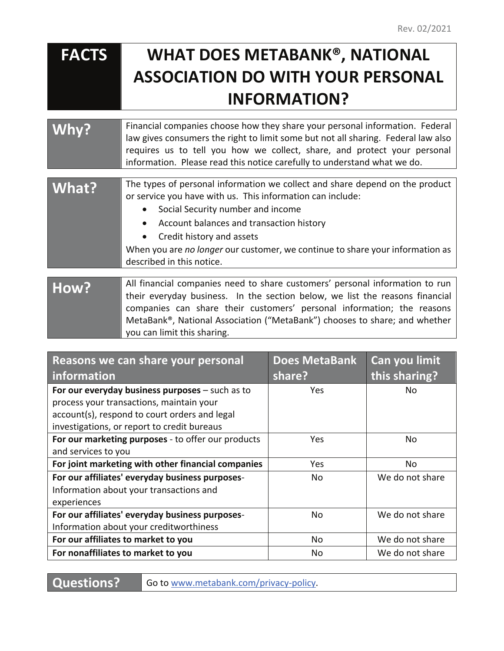# **FACTS WHAT DOES METABANK® , NATIONAL ASSOCIATION DO WITH YOUR PERSONAL INFORMATION?**

| Why? | Financial companies choose how they share your personal information. Federal<br>law gives consumers the right to limit some but not all sharing. Federal law also<br>requires us to tell you how we collect, share, and protect your personal<br>information. Please read this notice carefully to understand what we do. |
|------|---------------------------------------------------------------------------------------------------------------------------------------------------------------------------------------------------------------------------------------------------------------------------------------------------------------------------|
|      |                                                                                                                                                                                                                                                                                                                           |
|      |                                                                                                                                                                                                                                                                                                                           |

| What? | The types of personal information we collect and share depend on the product<br>or service you have with us. This information can include: |
|-------|--------------------------------------------------------------------------------------------------------------------------------------------|
|       | Social Security number and income<br>$\bullet$                                                                                             |
|       | • Account balances and transaction history                                                                                                 |
|       | • Credit history and assets                                                                                                                |
|       | When you are no longer our customer, we continue to share your information as                                                              |
|       | described in this notice.                                                                                                                  |

**How?** All financial companies need to share customers' personal information to run their everyday business. In the section below, we list the reasons financial companies can share their customers' personal information; the reasons MetaBank®, National Association ("MetaBank") chooses to share; and whether you can limit this sharing.

| Reasons we can share your personal                 | <b>Does MetaBank</b> | Can you limit   |
|----------------------------------------------------|----------------------|-----------------|
| information                                        | share?               | this sharing?   |
| For our everyday business purposes - such as to    | Yes                  | No.             |
| process your transactions, maintain your           |                      |                 |
| account(s), respond to court orders and legal      |                      |                 |
| investigations, or report to credit bureaus        |                      |                 |
| For our marketing purposes - to offer our products | Yes                  | <b>No</b>       |
| and services to you                                |                      |                 |
| For joint marketing with other financial companies | Yes                  | No              |
| For our affiliates' everyday business purposes-    | No.                  | We do not share |
| Information about your transactions and            |                      |                 |
| experiences                                        |                      |                 |
| For our affiliates' everyday business purposes-    | No.                  | We do not share |
| Information about your creditworthiness            |                      |                 |
| For our affiliates to market to you                | No.                  | We do not share |
| For nonaffiliates to market to you                 | <b>No</b>            | We do not share |

**Questions?** Go to www.metabank.com/privacy-policy.